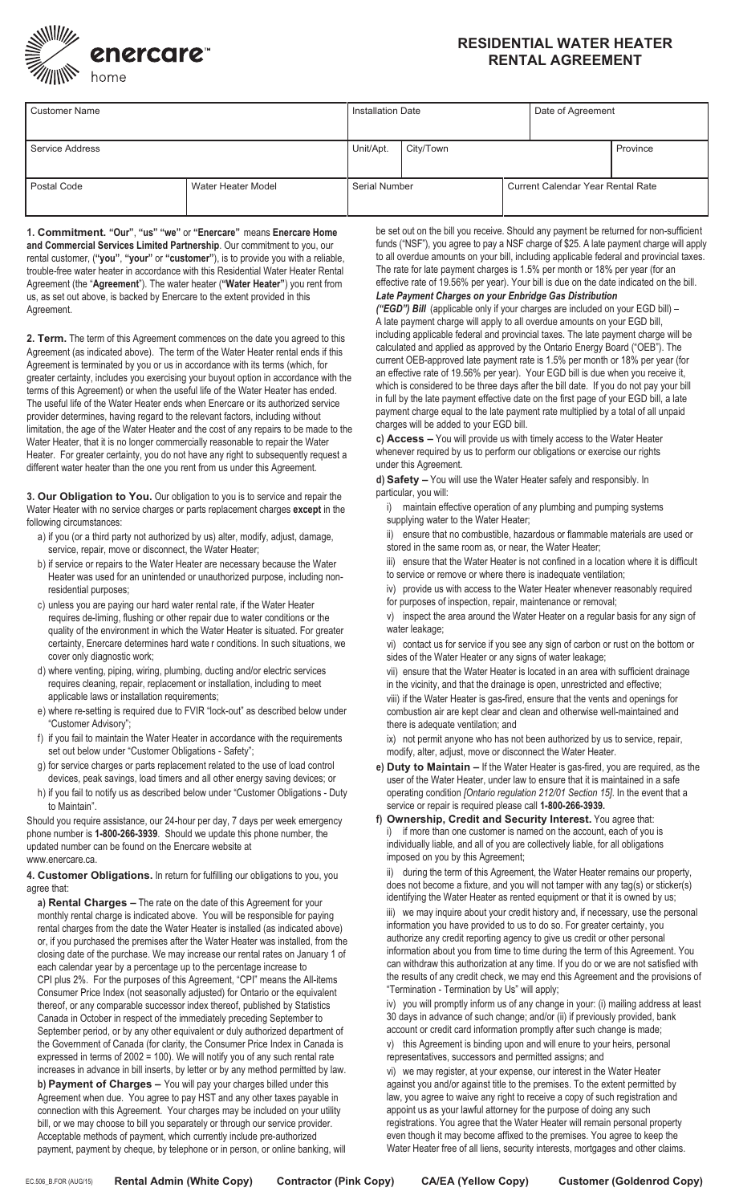

## **RESIDENTIAL WATER HEATER RENTAL AGREEMENT**

| <b>Customer Name</b> |                    | <b>Installation Date</b> |           |  | Date of Agreement                        |          |
|----------------------|--------------------|--------------------------|-----------|--|------------------------------------------|----------|
| Service Address      |                    | Unit/Apt.                | City/Town |  |                                          | Province |
| Postal Code          | Water Heater Model | <b>Serial Number</b>     |           |  | <b>Current Calendar Year Rental Rate</b> |          |

**1. Commitment. "Our"**, **"us" "we"** or **"Enercare"** means **Enercare Home and Commercial Services Limited Partnership**. Our commitment to you, our rental customer, (**"you"**, **"your"** or **"customer"**), is to provide you with a reliable, trouble-free water heater in accordance with this Residential Water Heater Rental Agreement (the "**Agreement**"). The water heater (**"Water Heater"**) you rent from us, as set out above, is backed by Enercare to the extent provided in this Agreement.

**2. Term.** The term of this Agreement commences on the date you agreed to this Agreement (as indicated above). The term of the Water Heater rental ends if this Agreement is terminated by you or us in accordance with its terms (which, for greater certainty, includes you exercising your buyout option in accordance with the terms of this Agreement) or when the useful life of the Water Heater has ended. The useful life of the Water Heater ends when Enercare or its authorized service provider determines, having regard to the relevant factors, including without limitation, the age of the Water Heater and the cost of any repairs to be made to the Water Heater, that it is no longer commercially reasonable to repair the Water Heater. For greater certainty, you do not have any right to subsequently request a different water heater than the one you rent from us under this Agreement.

**3. Our Obligation to You.** Our obligation to you is to service and repair the Water Heater with no service charges or parts replacement charges **except** in the following circumstances:

- a) if you (or a third party not authorized by us) alter, modify, adjust, damage, service, repair, move or disconnect, the Water Heater;
- b) if service or repairs to the Water Heater are necessary because the Water Heater was used for an unintended or unauthorized purpose, including nonresidential purposes;
- c) unless you are paying our hard water rental rate, if the Water Heater requires de-liming, flushing or other repair due to water conditions or the quality of the environment in which the Water Heater is situated. For greater certainty, Enercare determines hard wate r conditions. In such situations, we cover only diagnostic work;
- d) where venting, piping, wiring, plumbing, ducting and/or electric services requires cleaning, repair, replacement or installation, including to meet applicable laws or installation requirements;
- e) where re-setting is required due to FVIR "lock-out" as described below under "Customer Advisory";
- f) if you fail to maintain the Water Heater in accordance with the requirements set out below under "Customer Obligations - Safety";
- g) for service charges or parts replacement related to the use of load control devices, peak savings, load timers and all other energy saving devices; or
- h) if you fail to notify us as described below under "Customer Obligations Duty to Maintain".

Should you require assistance, our 24-hour per day, 7 days per week emergency phone number is **1-800-266-3939**. Should we update this phone number, the updated number can be found on the Enercare website at www.enercare.ca.

### **4. Customer Obligations.** In return for fulfilling our obligations to you, you agree that:

**a) Rental Charges –** The rate on the date of this Agreement for your monthly rental charge is indicated above. You will be responsible for paying rental charges from the date the Water Heater is installed (as indicated above) or, if you purchased the premises after the Water Heater was installed, from the closing date of the purchase. We may increase our rental rates on January 1 of each calendar year by a percentage up to the percentage increase to CPI plus 2%. For the purposes of this Agreement, "CPI" means the All-items Consumer Price Index (not seasonally adjusted) for Ontario or the equivalent thereof, or any comparable successor index thereof, published by Statistics Canada in October in respect of the immediately preceding September to September period, or by any other equivalent or duly authorized department of the Government of Canada (for clarity, the Consumer Price Index in Canada is expressed in terms of 2002 = 100). We will notify you of any such rental rate increases in advance in bill inserts, by letter or by any method permitted by law. **b) Payment of Charges –** You will pay your charges billed under this Agreement when due. You agree to pay HST and any other taxes payable in connection with this Agreement. Your charges may be included on your utility bill, or we may choose to bill you separately or through our service provider. Acceptable methods of payment, which currently include pre-authorized payment, payment by cheque, by telephone or in person, or online banking, will

be set out on the bill you receive. Should any payment be returned for non-sufficient funds ("NSF"), you agree to pay a NSF charge of \$25. A late payment charge will apply to all overdue amounts on your bill, including applicable federal and provincial taxes. The rate for late payment charges is 1.5% per month or 18% per year (for an effective rate of 19.56% per year). Your bill is due on the date indicated on the bill.

# *Late Payment Charges on your Enbridge Gas Distribution*

*("EGD") Bill* (applicable only if your charges are included on your EGD bill) – A late payment charge will apply to all overdue amounts on your EGD bill, including applicable federal and provincial taxes. The late payment charge will be calculated and applied as approved by the Ontario Energy Board ("OEB"). The current OEB-approved late payment rate is 1.5% per month or 18% per year (for an effective rate of 19.56% per year). Your EGD bill is due when you receive it, which is considered to be three days after the bill date. If you do not pay your bill in full by the late payment effective date on the first page of your EGD bill, a late payment charge equal to the late payment rate multiplied by a total of all unpaid charges will be added to your EGD bill.

**c) Access –** You will provide us with timely access to the Water Heater whenever required by us to perform our obligations or exercise our rights under this Agreement.

**d) Safety –** You will use the Water Heater safely and responsibly. In particular, you will:

i) maintain effective operation of any plumbing and pumping systems supplying water to the Water Heater;

ii) ensure that no combustible, hazardous or flammable materials are used or stored in the same room as, or near, the Water Heater;

iii) ensure that the Water Heater is not confined in a location where it is difficult to service or remove or where there is inadequate ventilation;

iv) provide us with access to the Water Heater whenever reasonably required for purposes of inspection, repair, maintenance or removal;

v) inspect the area around the Water Heater on a regular basis for any sign of water leakage;

vi) contact us for service if you see any sign of carbon or rust on the bottom or sides of the Water Heater or any signs of water leakage;

vii) ensure that the Water Heater is located in an area with sufficient drainage in the vicinity, and that the drainage is open, unrestricted and effective;

viii) if the Water Heater is gas-fired, ensure that the vents and openings for combustion air are kept clear and clean and otherwise well-maintained and there is adequate ventilation; and

ix) not permit anyone who has not been authorized by us to service, repair, modify, alter, adjust, move or disconnect the Water Heater.

- **e) Duty to Maintain –** If the Water Heater is gas-fired, you are required, as the user of the Water Heater, under law to ensure that it is maintained in a safe operating condition *[Ontario regulation 212/01 Section 15]*. In the event that a service or repair is required please call **1-800-266-3939.**
- **f) Ownership, Credit and Security Interest.** You agree that: i) if more than one customer is named on the account, each of you is individually liable, and all of you are collectively liable, for all obligations imposed on you by this Agreement;

ii) during the term of this Agreement, the Water Heater remains our property, does not become a fixture, and you will not tamper with any tag(s) or sticker(s) identifying the Water Heater as rented equipment or that it is owned by us; iii) we may inquire about your credit history and, if necessary, use the personal information you have provided to us to do so. For greater certainty, you authorize any credit reporting agency to give us credit or other personal information about you from time to time during the term of this Agreement. You can withdraw this authorization at any time. If you do or we are not satisfied with the results of any credit check, we may end this Agreement and the provisions of "Termination - Termination by Us" will apply;

iv) you will promptly inform us of any change in your: (i) mailing address at least 30 days in advance of such change; and/or (ii) if previously provided, bank account or credit card information promptly after such change is made;

v) this Agreement is binding upon and will enure to your heirs, personal representatives, successors and permitted assigns; and

vi) we may register, at your expense, our interest in the Water Heater against you and/or against title to the premises. To the extent permitted by law, you agree to waive any right to receive a copy of such registration and appoint us as your lawful attorney for the purpose of doing any such registrations. You agree that the Water Heater will remain personal property even though it may become affixed to the premises. You agree to keep the Water Heater free of all liens, security interests, mortgages and other claims.

EC.506\_B.FOR (AUG/15) **Rental Admin (White Copy) Contractor (Pink Copy) CA/EA (Yellow Copy) Customer (Goldenrod Copy)**